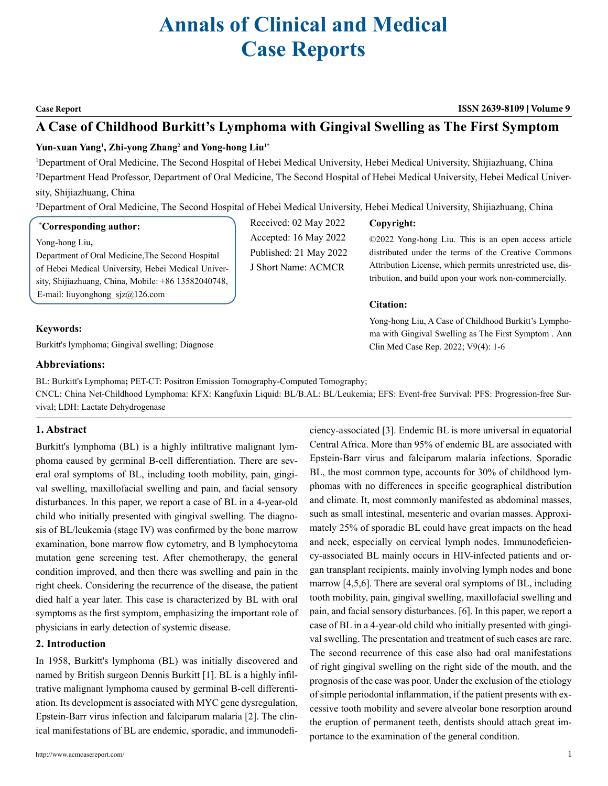# **Annals of Clinical and Medical Case Reports**

#### **Case Report ISSN 2639-8109 Volume 9**

# **A Case of Childhood Burkitt's Lymphoma with Gingival Swelling as The First Symptom**

### **Yun-xuan Yang1 , Zhi-yong Zhang2 and Yong-hong Liu1\***

1 Department of Oral Medicine, The Second Hospital of Hebei Medical University, Hebei Medical University, Shijiazhuang, China 2 Department Head Professor, Department of Oral Medicine, The Second Hospital of Hebei Medical University, Hebei Medical University, Shijiazhuang, China

3 Department of Oral Medicine, The Second Hospital of Hebei Medical University, Hebei Medical University, Shijiazhuang, China

#### **\* Corresponding author:**

Yong-hong Liu**,** 

Department of Oral Medicine,The Second Hospital of Hebei Medical University, Hebei Medical University, Shijiazhuang, China, Mobile: +86 13582040748, E-mail: liuyonghong  $sig(a)126$ .com

#### **Keywords:**

Burkitt's lymphoma; Gingival swelling; Diagnose

### **Abbreviations:**

BL: Burkitt's Lymphoma**;** PET-CT: Positron Emission Tomography-Computed Tomography;

CNCL: China Net-Childhood Lymphoma: KFX: Kangfuxin Liquid: BL/B.AL: BL/Leukemia; EFS: Event-free Survival: PFS: Progression-free Survival; LDH: Lactate Dehydrogenase

#### **1. Abstract**

Burkitt's lymphoma (BL) is a highly infiltrative malignant lymphoma caused by germinal B-cell differentiation. There are several oral symptoms of BL, including tooth mobility, pain, gingival swelling, maxillofacial swelling and pain, and facial sensory disturbances. In this paper, we report a case of BL in a 4-year-old child who initially presented with gingival swelling. The diagnosis of BL/leukemia (stage IV) was confirmed by the bone marrow examination, bone marrow flow cytometry, and B lymphocytoma mutation gene screening test. After chemotherapy, the general condition improved, and then there was swelling and pain in the right cheek. Considering the recurrence of the disease, the patient died half a year later. This case is characterized by BL with oral symptoms as the first symptom, emphasizing the important role of physicians in early detection of systemic disease.

#### **2. Introduction**

In 1958, Burkitt's lymphoma (BL) was initially discovered and named by British surgeon Dennis Burkitt [1]. BL is a highly infiltrative malignant lymphoma caused by germinal B-cell differentiation. Its development is associated with MYC gene dysregulation, Epstein-Barr virus infection and falciparum malaria [2]. The clinical manifestations of BL are endemic, sporadic, and immunodefi-

Received: 02 May 2022 Accepted: 16 May 2022 Published: 21 May 2022 J Short Name: ACMCR

## **Copyright:**

©2022 Yong-hong Liu. This is an open access article distributed under the terms of the Creative Commons Attribution License, which permits unrestricted use, distribution, and build upon your work non-commercially.

#### **Citation:**

Yong-hong Liu, A Case of Childhood Burkitt's Lymphoma with Gingival Swelling as The First Symptom . Ann Clin Med Case Rep. 2022; V9(4): 1-6

ciency-associated [3]. Endemic BL is more universal in equatorial Central Africa. More than 95% of endemic BL are associated with Epstein-Barr virus and falciparum malaria infections. Sporadic BL, the most common type, accounts for 30% of childhood lymphomas with no differences in specific geographical distribution and climate. It, most commonly manifested as abdominal masses, such as small intestinal, mesenteric and ovarian masses. Approximately 25% of sporadic BL could have great impacts on the head and neck, especially on cervical lymph nodes. Immunodeficiency-associated BL mainly occurs in HIV-infected patients and organ transplant recipients, mainly involving lymph nodes and bone marrow [4,5,6]. There are several oral symptoms of BL, including tooth mobility, pain, gingival swelling, maxillofacial swelling and pain, and facial sensory disturbances. [6]. In this paper, we report a case of BL in a 4-year-old child who initially presented with gingival swelling. The presentation and treatment of such cases are rare. The second recurrence of this case also had oral manifestations of right gingival swelling on the right side of the mouth, and the prognosis of the case was poor. Under the exclusion of the etiology of simple periodontal inflammation, if the patient presents with excessive tooth mobility and severe alveolar bone resorption around the eruption of permanent teeth, dentists should attach great importance to the examination of the general condition.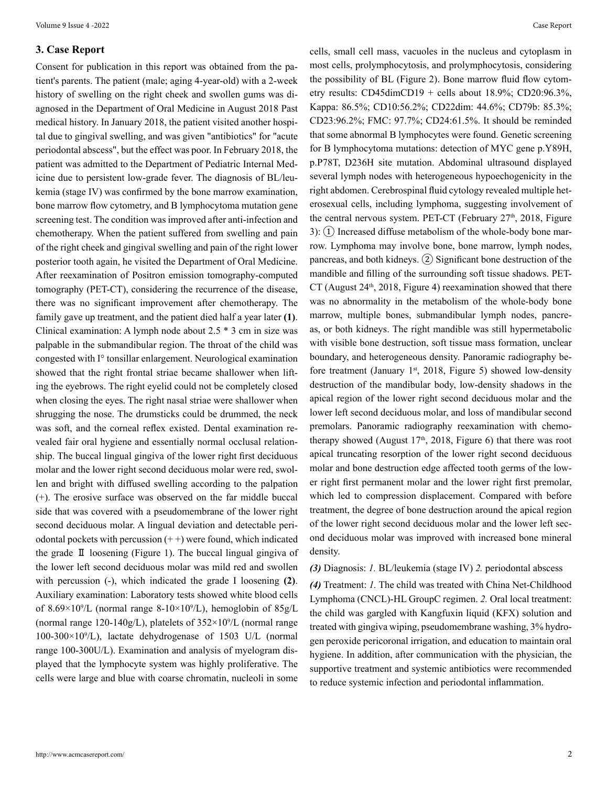#### **3. Case Report**

Consent for publication in this report was obtained from the patient's parents. The patient (male; aging 4-year-old) with a 2-week history of swelling on the right cheek and swollen gums was diagnosed in the Department of Oral Medicine in August 2018 Past medical history. In January 2018, the patient visited another hospital due to gingival swelling, and was given "antibiotics" for "acute periodontal abscess", but the effect was poor. In February 2018, the patient was admitted to the Department of Pediatric Internal Medicine due to persistent low-grade fever. The diagnosis of BL/leukemia (stage IV) was confirmed by the bone marrow examination, bone marrow flow cytometry, and B lymphocytoma mutation gene screening test. The condition was improved after anti-infection and chemotherapy. When the patient suffered from swelling and pain of the right cheek and gingival swelling and pain of the right lower posterior tooth again, he visited the Department of Oral Medicine. After reexamination of Positron emission tomography-computed tomography (PET-CT), considering the recurrence of the disease, there was no significant improvement after chemotherapy. The family gave up treatment, and the patient died half a year later **(1)**. Clinical examination: A lymph node about 2.5 \* 3 cm in size was palpable in the submandibular region. The throat of the child was congested with I° tonsillar enlargement. Neurological examination showed that the right frontal striae became shallower when lifting the eyebrows. The right eyelid could not be completely closed when closing the eyes. The right nasal striae were shallower when shrugging the nose. The drumsticks could be drummed, the neck was soft, and the corneal reflex existed. Dental examination revealed fair oral hygiene and essentially normal occlusal relationship. The buccal lingual gingiva of the lower right first deciduous molar and the lower right second deciduous molar were red, swollen and bright with diffused swelling according to the palpation (+). The erosive surface was observed on the far middle buccal side that was covered with a pseudomembrane of the lower right second deciduous molar. A lingual deviation and detectable periodontal pockets with percussion  $(++)$  were found, which indicated the grade Ⅱ loosening (Figure 1). The buccal lingual gingiva of the lower left second deciduous molar was mild red and swollen with percussion (-), which indicated the grade I loosening **(2)**. Auxiliary examination: Laboratory tests showed white blood cells of 8.69 $\times$ 10<sup>9</sup>/L (normal range 8-10 $\times$ 10<sup>9</sup>/L), hemoglobin of 85g/L (normal range 120-140g/L), platelets of  $352 \times 10^9$ /L (normal range 100-300×109 /L), lactate dehydrogenase of 1503 U/L (normal range 100-300U/L). Examination and analysis of myelogram displayed that the lymphocyte system was highly proliferative. The cells were large and blue with coarse chromatin, nucleoli in some

cells, small cell mass, vacuoles in the nucleus and cytoplasm in most cells, prolymphocytosis, and prolymphocytosis, considering the possibility of BL (Figure 2). Bone marrow fluid flow cytometry results: CD45dimCD19 + cells about 18.9%; CD20:96.3%, Kappa: 86.5%; CD10:56.2%; CD22dim: 44.6%; CD79b: 85.3%; CD23:96.2%; FMC: 97.7%; CD24:61.5%. It should be reminded that some abnormal B lymphocytes were found. Genetic screening for B lymphocytoma mutations: detection of MYC gene p.Y89H, p.P78T, D236H site mutation. Abdominal ultrasound displayed several lymph nodes with heterogeneous hypoechogenicity in the right abdomen. Cerebrospinal fluid cytology revealed multiple heterosexual cells, including lymphoma, suggesting involvement of the central nervous system. PET-CT (February  $27<sup>th</sup>$ ,  $2018$ , Figure 3):  $(1)$  Increased diffuse metabolism of the whole-body bone marrow. Lymphoma may involve bone, bone marrow, lymph nodes, pancreas, and both kidneys. ② Significant bone destruction of the mandible and filling of the surrounding soft tissue shadows. PET- $CT$  (August 24<sup>th</sup>, 2018, Figure 4) reexamination showed that there was no abnormality in the metabolism of the whole-body bone marrow, multiple bones, submandibular lymph nodes, pancreas, or both kidneys. The right mandible was still hypermetabolic with visible bone destruction, soft tissue mass formation, unclear boundary, and heterogeneous density. Panoramic radiography before treatment (January 1st, 2018, Figure 5) showed low-density destruction of the mandibular body, low-density shadows in the apical region of the lower right second deciduous molar and the lower left second deciduous molar, and loss of mandibular second premolars. Panoramic radiography reexamination with chemotherapy showed (August  $17<sup>th</sup>$ ,  $2018$ , Figure 6) that there was root apical truncating resorption of the lower right second deciduous molar and bone destruction edge affected tooth germs of the lower right first permanent molar and the lower right first premolar, which led to compression displacement. Compared with before treatment, the degree of bone destruction around the apical region of the lower right second deciduous molar and the lower left second deciduous molar was improved with increased bone mineral density.

#### *(3)* Diagnosis: *1.* BL/leukemia (stage IV) *2.* periodontal abscess

*(4)* Treatment: *1.* The child was treated with China Net-Childhood Lymphoma (CNCL)-HL GroupC regimen. *2.* Oral local treatment: the child was gargled with Kangfuxin liquid (KFX) solution and treated with gingiva wiping, pseudomembrane washing, 3% hydrogen peroxide pericoronal irrigation, and education to maintain oral hygiene. In addition, after communication with the physician, the supportive treatment and systemic antibiotics were recommended to reduce systemic infection and periodontal inflammation.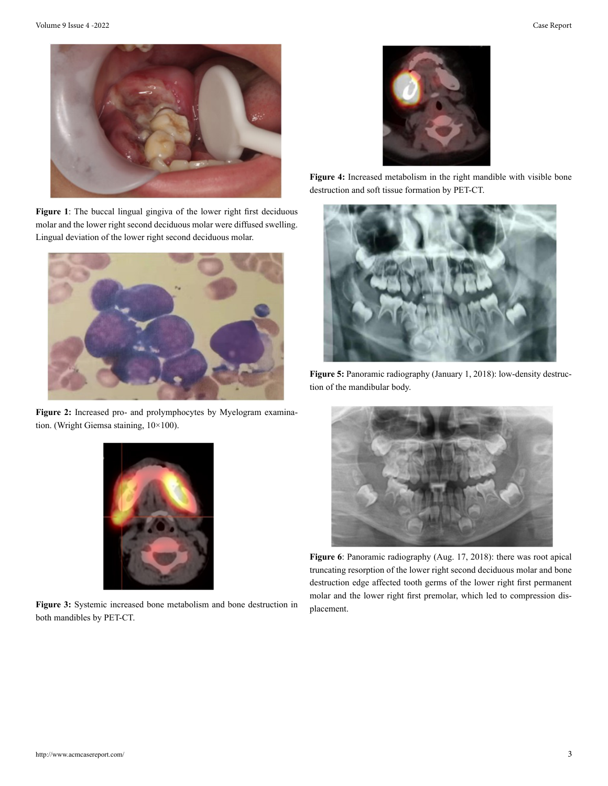

**Figure 1**: The buccal lingual gingiva of the lower right first deciduous molar and the lower right second deciduous molar were diffused swelling. Lingual deviation of the lower right second deciduous molar.



**Figure 2:** Increased pro- and prolymphocytes by Myelogram examination. (Wright Giemsa staining, 10×100).



**Figure 4:** Increased metabolism in the right mandible with visible bone destruction and soft tissue formation by PET-CT.



**Figure 5:** Panoramic radiography (January 1, 2018): low-density destruction of the mandibular body.



**Figure 6**: Panoramic radiography (Aug. 17, 2018): there was root apical truncating resorption of the lower right second deciduous molar and bone destruction edge affected tooth germs of the lower right first permanent molar and the lower right first premolar, which led to compression displacement.



**Figure 3:** Systemic increased bone metabolism and bone destruction in both mandibles by PET-CT.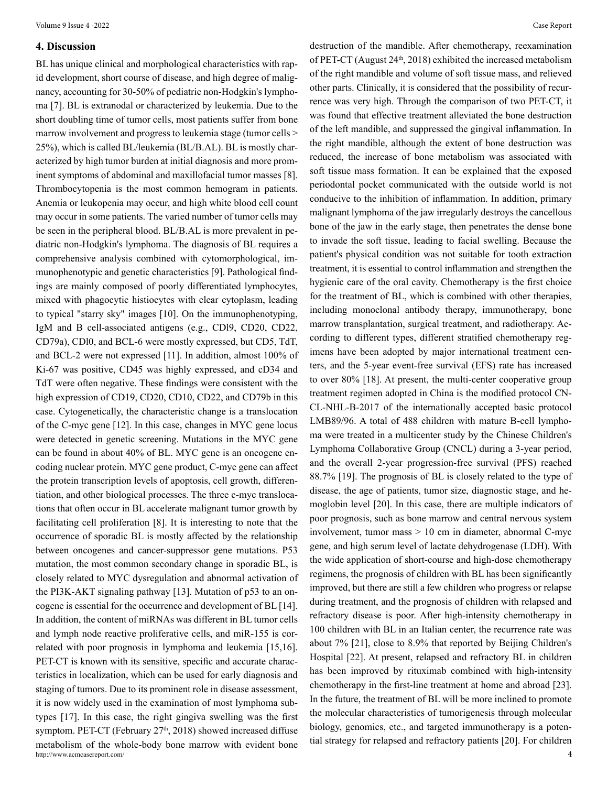#### **4. Discussion**

http://www.acmcasereport.com/ 4 BL has unique clinical and morphological characteristics with rapid development, short course of disease, and high degree of malignancy, accounting for 30-50% of pediatric non-Hodgkin's lymphoma [7]. BL is extranodal or characterized by leukemia. Due to the short doubling time of tumor cells, most patients suffer from bone marrow involvement and progress to leukemia stage (tumor cells  $\geq$ 25%), which is called BL/leukemia (BL/B.AL). BL is mostly characterized by high tumor burden at initial diagnosis and more prominent symptoms of abdominal and maxillofacial tumor masses [8]. Thrombocytopenia is the most common hemogram in patients. Anemia or leukopenia may occur, and high white blood cell count may occur in some patients. The varied number of tumor cells may be seen in the peripheral blood. BL/B.AL is more prevalent in pediatric non-Hodgkin's lymphoma. The diagnosis of BL requires a comprehensive analysis combined with cytomorphological, immunophenotypic and genetic characteristics [9]. Pathological findings are mainly composed of poorly differentiated lymphocytes, mixed with phagocytic histiocytes with clear cytoplasm, leading to typical "starry sky" images [10]. On the immunophenotyping, IgM and B cell-associated antigens (e.g., CDl9, CD20, CD22, CD79a), CDl0, and BCL-6 were mostly expressed, but CD5, TdT, and BCL-2 were not expressed [11]. In addition, almost 100% of Ki-67 was positive, CD45 was highly expressed, and cD34 and TdT were often negative. These findings were consistent with the high expression of CD19, CD20, CD10, CD22, and CD79b in this case. Cytogenetically, the characteristic change is a translocation of the C-myc gene [12]. In this case, changes in MYC gene locus were detected in genetic screening. Mutations in the MYC gene can be found in about 40% of BL. MYC gene is an oncogene encoding nuclear protein. MYC gene product, C-myc gene can affect the protein transcription levels of apoptosis, cell growth, differentiation, and other biological processes. The three c-myc translocations that often occur in BL accelerate malignant tumor growth by facilitating cell proliferation [8]. It is interesting to note that the occurrence of sporadic BL is mostly affected by the relationship between oncogenes and cancer-suppressor gene mutations. P53 mutation, the most common secondary change in sporadic BL, is closely related to MYC dysregulation and abnormal activation of the PI3K-AKT signaling pathway [13]. Mutation of p53 to an oncogene is essential for the occurrence and development of BL [14]. In addition, the content of miRNAs was different in BL tumor cells and lymph node reactive proliferative cells, and miR-155 is correlated with poor prognosis in lymphoma and leukemia [15,16]. PET-CT is known with its sensitive, specific and accurate characteristics in localization, which can be used for early diagnosis and staging of tumors. Due to its prominent role in disease assessment, it is now widely used in the examination of most lymphoma subtypes [17]. In this case, the right gingiva swelling was the first symptom. PET-CT (February  $27<sup>th</sup>$ ,  $2018$ ) showed increased diffuse metabolism of the whole-body bone marrow with evident bone

of PET-CT (August 24<sup>th</sup>, 2018) exhibited the increased metabolism of the right mandible and volume of soft tissue mass, and relieved other parts. Clinically, it is considered that the possibility of recurrence was very high. Through the comparison of two PET-CT, it was found that effective treatment alleviated the bone destruction of the left mandible, and suppressed the gingival inflammation. In the right mandible, although the extent of bone destruction was reduced, the increase of bone metabolism was associated with soft tissue mass formation. It can be explained that the exposed periodontal pocket communicated with the outside world is not conducive to the inhibition of inflammation. In addition, primary malignant lymphoma of the jaw irregularly destroys the cancellous bone of the jaw in the early stage, then penetrates the dense bone to invade the soft tissue, leading to facial swelling. Because the patient's physical condition was not suitable for tooth extraction treatment, it is essential to control inflammation and strengthen the hygienic care of the oral cavity. Chemotherapy is the first choice for the treatment of BL, which is combined with other therapies, including monoclonal antibody therapy, immunotherapy, bone marrow transplantation, surgical treatment, and radiotherapy. According to different types, different stratified chemotherapy regimens have been adopted by major international treatment centers, and the 5-year event-free survival (EFS) rate has increased to over 80% [18]. At present, the multi-center cooperative group treatment regimen adopted in China is the modified protocol CN-CL-NHL-B-2017 of the internationally accepted basic protocol LMB89/96. A total of 488 children with mature B-cell lymphoma were treated in a multicenter study by the Chinese Children's Lymphoma Collaborative Group (CNCL) during a 3-year period, and the overall 2-year progression-free survival (PFS) reached 88.7% [19]. The prognosis of BL is closely related to the type of disease, the age of patients, tumor size, diagnostic stage, and hemoglobin level [20]. In this case, there are multiple indicators of poor prognosis, such as bone marrow and central nervous system involvement, tumor mass  $> 10$  cm in diameter, abnormal C-myc gene, and high serum level of lactate dehydrogenase (LDH). With the wide application of short-course and high-dose chemotherapy regimens, the prognosis of children with BL has been significantly improved, but there are still a few children who progress or relapse during treatment, and the prognosis of children with relapsed and refractory disease is poor. After high-intensity chemotherapy in 100 children with BL in an Italian center, the recurrence rate was about 7% [21], close to 8.9% that reported by Beijing Children's Hospital [22]. At present, relapsed and refractory BL in children has been improved by rituximab combined with high-intensity chemotherapy in the first-line treatment at home and abroad [23]. In the future, the treatment of BL will be more inclined to promote the molecular characteristics of tumorigenesis through molecular biology, genomics, etc., and targeted immunotherapy is a potential strategy for relapsed and refractory patients [20]. For children

destruction of the mandible. After chemotherapy, reexamination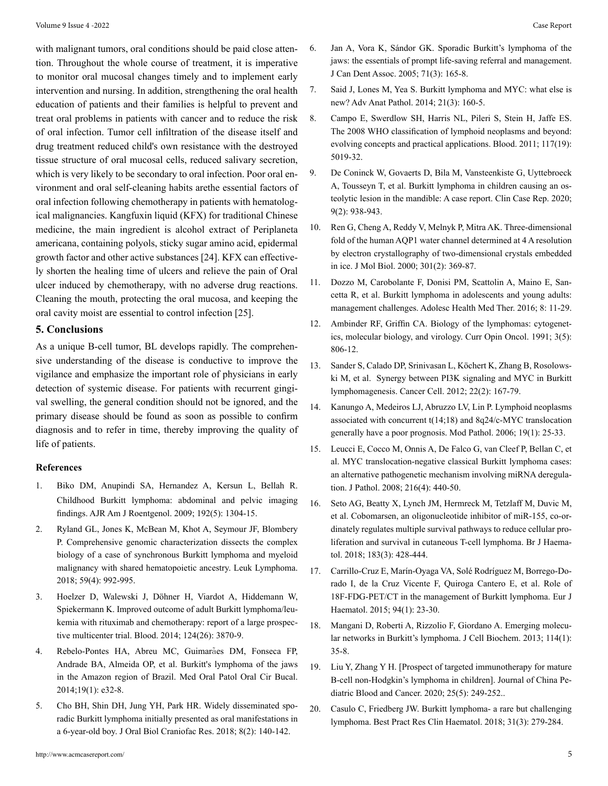with malignant tumors, oral conditions should be paid close attention. Throughout the whole course of treatment, it is imperative to monitor oral mucosal changes timely and to implement early intervention and nursing. In addition, strengthening the oral health education of patients and their families is helpful to prevent and treat oral problems in patients with cancer and to reduce the risk of oral infection. Tumor cell infiltration of the disease itself and drug treatment reduced child's own resistance with the destroyed tissue structure of oral mucosal cells, reduced salivary secretion, which is very likely to be secondary to oral infection. Poor oral environment and oral self-cleaning habits arethe essential factors of oral infection following chemotherapy in patients with hematological malignancies. Kangfuxin liquid (KFX) for traditional Chinese medicine, the main ingredient is alcohol extract of Periplaneta americana, containing polyols, sticky sugar amino acid, epidermal growth factor and other active substances [24]. KFX can effectively shorten the healing time of ulcers and relieve the pain of Oral ulcer induced by chemotherapy, with no adverse drug reactions. Cleaning the mouth, protecting the oral mucosa, and keeping the oral cavity moist are essential to control infection [25].

#### **5. Conclusions**

As a unique B-cell tumor, BL develops rapidly. The comprehensive understanding of the disease is conductive to improve the vigilance and emphasize the important role of physicians in early detection of systemic disease. For patients with recurrent gingival swelling, the general condition should not be ignored, and the primary disease should be found as soon as possible to confirm diagnosis and to refer in time, thereby improving the quality of life of patients.

#### **References**

- 1. [Biko DM, Anupindi SA, Hernandez A, Kersun L, Bellah R.](https://pubmed.ncbi.nlm.nih.gov/19380555/)  [Childhood Burkitt lymphoma: abdominal and pelvic imaging](https://pubmed.ncbi.nlm.nih.gov/19380555/) [findings. AJR Am J Roentgenol. 2009;](https://pubmed.ncbi.nlm.nih.gov/19380555/) 192(5): 1304-15.
- 2. [Ryland GL, Jones K, McBean M, Khot A, Seymour JF, Blombery](https://pubmed.ncbi.nlm.nih.gov/28792266/) [P. Comprehensive genomic characterization dissects the complex](https://pubmed.ncbi.nlm.nih.gov/28792266/) [biology of a case of synchronous Burkitt lymphoma and myeloid](https://pubmed.ncbi.nlm.nih.gov/28792266/)  [malignancy with shared hematopoietic ancestry. Leuk Lymphoma.](https://pubmed.ncbi.nlm.nih.gov/28792266/) 2018; 59(4): [992-995.](https://pubmed.ncbi.nlm.nih.gov/28792266/)
- 3. [Hoelzer D, Walewski J, Döhner H, Viardot A, Hiddemann W,](https://pubmed.ncbi.nlm.nih.gov/25359988/)  [Spiekermann K. Improved outcome of adult Burkitt lymphoma/leu](https://pubmed.ncbi.nlm.nih.gov/25359988/)[kemia with rituximab and chemotherapy: report of a large prospec](https://pubmed.ncbi.nlm.nih.gov/25359988/)[tive multicenter trial. Blood. 2014; 124\(26\): 3870-9.](https://pubmed.ncbi.nlm.nih.gov/25359988/)
- 4. [Rebelo-Pontes HA, Abreu MC, Guimar](https://www.ncbi.nlm.nih.gov/pmc/articles/PMC3909429/)ães DM, Fonseca FP, [Andrade BA, Almeida OP, et al. Burkitt's lymphoma of the jaws](https://www.ncbi.nlm.nih.gov/pmc/articles/PMC3909429/)  [in the Amazon region of Brazil. Med Oral Patol Oral Cir Bucal.](https://www.ncbi.nlm.nih.gov/pmc/articles/PMC3909429/) [2014;19\(1\):](https://www.ncbi.nlm.nih.gov/pmc/articles/PMC3909429/) e32-8.
- 5. [Cho BH, Shin DH, Jung YH, Park HR. Widely disseminated spo](https://pubmed.ncbi.nlm.nih.gov/29892537/)[radic Burkitt lymphoma initially presented as oral manifestations in](https://pubmed.ncbi.nlm.nih.gov/29892537/) [a 6-year-old boy. J Oral Biol Craniofac Res. 2018; 8\(2\): 140-142.](https://pubmed.ncbi.nlm.nih.gov/29892537/)
- 7. [Said J, Lones M, Yea S. Burkitt lymphoma and MYC: what else is](https://pubmed.ncbi.nlm.nih.gov/24713985/) [new? Adv Anat Pathol. 2014; 21\(3\): 160-5.](https://pubmed.ncbi.nlm.nih.gov/24713985/)
- 8. [Campo E, Swerdlow SH, Harris NL, Pileri S, Stein H, Jaffe ES.](https://ashpublications.org/blood/article/117/19/5019/20991/The-2008-WHO-classification-of-lymphoid-neoplasms)  [The 2008 WHO classification of lymphoid neoplasms and beyond:](https://ashpublications.org/blood/article/117/19/5019/20991/The-2008-WHO-classification-of-lymphoid-neoplasms) [evolving concepts and practical applications. Blood. 2011; 117\(19\):](https://ashpublications.org/blood/article/117/19/5019/20991/The-2008-WHO-classification-of-lymphoid-neoplasms) [5019-32.](https://ashpublications.org/blood/article/117/19/5019/20991/The-2008-WHO-classification-of-lymphoid-neoplasms)
- 9. [De Coninck W, Govaerts D, Bila M, Vansteenkiste G, Uyttebroeck](https://www.ncbi.nlm.nih.gov/pmc/articles/PMC7869388/)  [A, Tousseyn T, et al. Burkitt lymphoma in children causing an os](https://www.ncbi.nlm.nih.gov/pmc/articles/PMC7869388/)[teolytic lesion in the mandible: A case report. Clin Case Rep. 2020;](https://www.ncbi.nlm.nih.gov/pmc/articles/PMC7869388/) [9\(2\): 938-943.](https://www.ncbi.nlm.nih.gov/pmc/articles/PMC7869388/)
- 10. [Ren G, Cheng A, Reddy V, Melnyk P, Mitra AK. Three-dimensional](https://pubmed.ncbi.nlm.nih.gov/10926515/)  [fold of the human AQP1 water channel determined at 4 A resolution](https://pubmed.ncbi.nlm.nih.gov/10926515/)  [by electron crystallography of two-dimensional crystals embedded](https://pubmed.ncbi.nlm.nih.gov/10926515/) [in ice. J Mol Biol. 2000; 301\(2\): 369-87.](https://pubmed.ncbi.nlm.nih.gov/10926515/)
- 11. [Dozzo M, Carobolante F, Donisi PM, Scattolin A, Maino E, San](https://www.ncbi.nlm.nih.gov/pmc/articles/PMC5207020/)[cetta R, et al. Burkitt lymphoma in adolescents and young adults:](https://www.ncbi.nlm.nih.gov/pmc/articles/PMC5207020/) [management challenges. Adolesc Health Med Ther. 2016; 8: 11-29.](https://www.ncbi.nlm.nih.gov/pmc/articles/PMC5207020/)
- 12. [Ambinder RF, Griffin CA. Biology of the lymphomas: cytogenet](https://pubmed.ncbi.nlm.nih.gov/1661167/)[ics, molecular biology, and virology. Curr Opin Oncol. 1991; 3\(5\):](https://pubmed.ncbi.nlm.nih.gov/1661167/) [806-12.](https://pubmed.ncbi.nlm.nih.gov/1661167/)
- 13. [Sander S, Calado DP, Srinivasan L, Köchert K, Zhang B, Rosolows](https://pubmed.ncbi.nlm.nih.gov/22897848/)[ki M, et al. Synergy between PI3K signaling and MYC in Burkitt](https://pubmed.ncbi.nlm.nih.gov/22897848/)  [lymphomagenesis. Cancer Cell. 2012; 22\(2\): 167-79.](https://pubmed.ncbi.nlm.nih.gov/22897848/)
- 14. [Kanungo A, Medeiros LJ, Abruzzo LV, Lin P. Lymphoid neoplasms](https://pubmed.ncbi.nlm.nih.gov/16258503/) [associated with concurrent t\(14;18\) and 8q24/c-MYC translocation](https://pubmed.ncbi.nlm.nih.gov/16258503/) [generally have a poor prognosis. Mod Pathol. 2006; 19\(1\): 25-33.](https://pubmed.ncbi.nlm.nih.gov/16258503/)
- 15. [Leucci E, Cocco M, Onnis A, De Falco G, van Cleef P, Bellan C, et](https://pubmed.ncbi.nlm.nih.gov/18802929/)  [al. MYC translocation-negative classical Burkitt lymphoma cases:](https://pubmed.ncbi.nlm.nih.gov/18802929/) [an alternative pathogenetic mechanism involving miRNA deregula](https://pubmed.ncbi.nlm.nih.gov/18802929/)[tion. J Pathol. 2008; 216\(4\): 440-50.](https://pubmed.ncbi.nlm.nih.gov/18802929/)
- 16. [Seto AG, Beatty X, Lynch JM, Hermreck M, Tetzlaff M, Duvic M,](https://pubmed.ncbi.nlm.nih.gov/30125933/)  [et al. Cobomarsen, an oligonucleotide inhibitor of miR-155, co-or](https://pubmed.ncbi.nlm.nih.gov/30125933/)[dinately regulates multiple survival pathways to reduce cellular pro](https://pubmed.ncbi.nlm.nih.gov/30125933/)[liferation and survival in cutaneous T-cell lymphoma. Br J Haema](https://pubmed.ncbi.nlm.nih.gov/30125933/)[tol. 2018; 183\(3\): 428-444.](https://pubmed.ncbi.nlm.nih.gov/30125933/)
- 17. [Carrillo-Cruz E, Marín-Oyaga VA, Solé Rodríguez M, Borrego-Do](https://pubmed.ncbi.nlm.nih.gov/24520874/)[rado I, de la Cruz Vicente F, Quiroga Cantero E, et al. Role of](https://pubmed.ncbi.nlm.nih.gov/24520874/) [18F-FDG-PET/CT in the management of Burkitt lymphoma. Eur J](https://pubmed.ncbi.nlm.nih.gov/24520874/)  [Haematol. 2015; 94\(1\): 23-30.](https://pubmed.ncbi.nlm.nih.gov/24520874/)
- 18. [Mangani D, Roberti A, Rizzolio F, Giordano A. Emerging molecu](https://pubmed.ncbi.nlm.nih.gov/22903691/)[lar networks in Burkitt's lymphoma. J Cell Biochem. 2013; 114\(1\):](https://pubmed.ncbi.nlm.nih.gov/22903691/) [35-8.](https://pubmed.ncbi.nlm.nih.gov/22903691/)
- 19. [Liu Y, Zhang Y H. \[Prospect of targeted immunotherapy for mature](https://www.ncbi.nlm.nih.gov/pmc/articles/PMC8475356/) [B-cell non-Hodgkin's lymphoma in children\]. Journal of China Pe](https://www.ncbi.nlm.nih.gov/pmc/articles/PMC8475356/)[diatric Blood and Cancer. 2020;](https://www.ncbi.nlm.nih.gov/pmc/articles/PMC8475356/) 25(5): 249-252..
- 20. [Casulo C, Friedberg JW. Burkitt lymphoma- a rare but challenging](https://pubmed.ncbi.nlm.nih.gov/30213397/)  [lymphoma. Best Pract Res Clin Haematol. 2018; 31\(3\): 279-284.](https://pubmed.ncbi.nlm.nih.gov/30213397/)